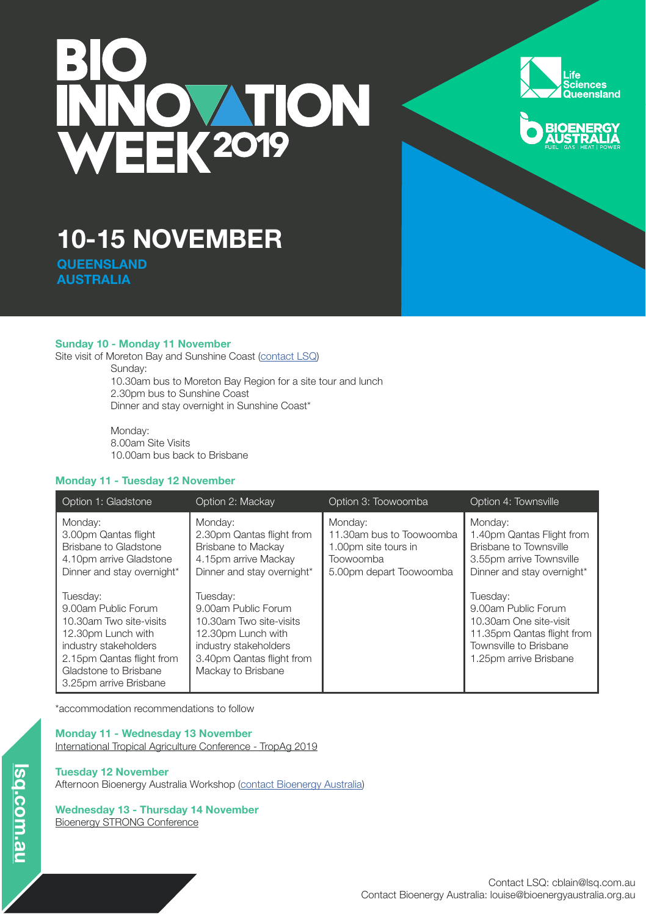





# **10-15 NOVEMBER**

**QUEENSLAND AUSTRALIA**

# **Sunday 10 - Monday 11 November**

Site visit of Moreton Bay and Sunshine Coast [\(contact LSQ\)](mailto:cblain%40lsq.com.au?subject=) Sunday: 10.30am bus to Moreton Bay Region for a site tour and lunch 2.30pm bus to Sunshine Coast Dinner and stay overnight in Sunshine Coast\*

> Monday: 8.00am Site Visits 10.00am bus back to Brisbane

# **Monday 11 - Tuesday 12 November**

| Option 1: Gladstone                                                                                                                                                                       | Option 2: Mackay                                                                                                                                             | Option 3: Toowoomba                                                                                 | Option 4: Townsville                                                                                                                        |
|-------------------------------------------------------------------------------------------------------------------------------------------------------------------------------------------|--------------------------------------------------------------------------------------------------------------------------------------------------------------|-----------------------------------------------------------------------------------------------------|---------------------------------------------------------------------------------------------------------------------------------------------|
| Monday:<br>3.00pm Qantas flight<br>Brisbane to Gladstone<br>4.10pm arrive Gladstone<br>Dinner and stay overnight*                                                                         | Monday:<br>2.30pm Qantas flight from<br>Brisbane to Mackay<br>4.15pm arrive Mackay<br>Dinner and stay overnight*                                             | Monday:<br>11.30am bus to Toowoomba<br>1.00pm site tours in<br>Toowoomba<br>5.00pm depart Toowoomba | Monday:<br>1.40pm Qantas Flight from<br><b>Brisbane to Townsville</b><br>3.55pm arrive Townsville<br>Dinner and stay overnight*             |
| Tuesdav:<br>9.00am Public Forum<br>10.30am Two site-visits<br>12.30pm Lunch with<br>industry stakeholders<br>2.15pm Qantas flight from<br>Gladstone to Brisbane<br>3.25pm arrive Brisbane | Tuesday:<br>9.00am Public Forum<br>10.30am Two site-visits<br>12.30pm Lunch with<br>industry stakeholders<br>3.40pm Qantas flight from<br>Mackay to Brisbane |                                                                                                     | Tuesday:<br>9.00am Public Forum<br>10.30am One site-visit<br>11.35pm Qantas flight from<br>Townsville to Brisbane<br>1.25pm arrive Brisbane |

\*accommodation recommendations to follow

# **Monday 11 - Wednesday 13 November**

[International Tropical Agriculture Conference - TropAg 2019](https://tropagconference.org)

# **Tuesday 12 November**

Afternoon Bioenergy Australia Workshop [\(contact Bioenergy Australia](mailto:louise%40bioenergyaustralia.org.au?subject=))

# **Wednesday 13 - Thursday 14 November**

[Bioenergy STRONG Conference](https://www.bioenergystrong.org.au/home/)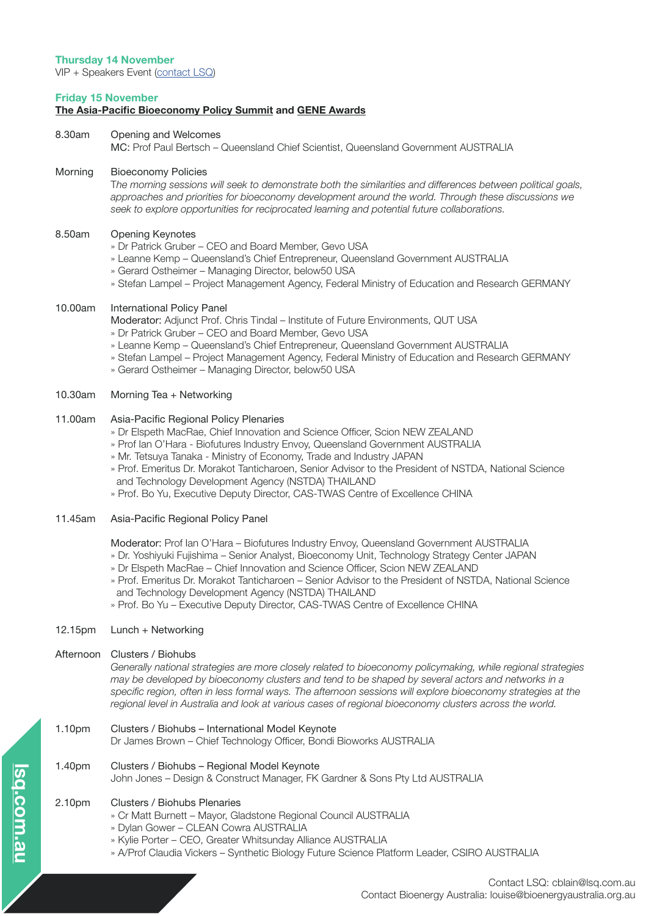## **Thursday 14 November**

VIP + Speakers Event [\(contact LSQ](mailto:cblain%40lsq.com.au?subject=))

# **Friday 15 November**

# **[The Asia-Pacific Bioeconomy Policy Summit](https://www.eventbrite.com.au/e/the-asia-pacific-bioeconomy-policy-summit-registration-68104886549) and [GENE Awards](https://www.eventbrite.com.au/e/the-globally-engaging-networking-event-2019-tickets-72182544935)**

8.30am Opening and Welcomes

MC: Prof Paul Bertsch – Queensland Chief Scientist, Queensland Government AUSTRALIA

# Morning Bioeconomy Policies

T*he morning sessions will seek to demonstrate both the similarities and differences between political goals, approaches and priorities for bioeconomy development around the world. Through these discussions we seek to explore opportunities for reciprocated learning and potential future collaborations.*

#### 8.50am Opening Keynotes

- » Dr Patrick Gruber CEO and Board Member, Gevo USA
- » Leanne Kemp Queensland's Chief Entrepreneur, Queensland Government AUSTRALIA
- » Gerard Ostheimer Managing Director, below50 USA
- » Stefan Lampel Project Management Agency, Federal Ministry of Education and Research GERMANY

# 10.00am International Policy Panel

Moderator: Adjunct Prof. Chris Tindal – Institute of Future Environments, QUT USA

- » Dr Patrick Gruber CEO and Board Member, Gevo USA
- » Leanne Kemp Queensland's Chief Entrepreneur, Queensland Government AUSTRALIA
- » Stefan Lampel Project Management Agency, Federal Ministry of Education and Research GERMANY
- » Gerard Ostheimer Managing Director, below50 USA

#### 10.30am Morning Tea + Networking

# 11.00am Asia-Pacific Regional Policy Plenaries

- » Dr Elspeth MacRae, Chief Innovation and Science Officer, Scion NEW ZEALAND
- » Prof Ian O'Hara Biofutures Industry Envoy, Queensland Government AUSTRALIA
- » Mr. Tetsuya Tanaka Ministry of Economy, Trade and Industry JAPAN
- » Prof. Emeritus Dr. Morakot Tanticharoen, Senior Advisor to the President of NSTDA, National Science and Technology Development Agency (NSTDA) THAILAND
- » Prof. Bo Yu, Executive Deputy Director, CAS-TWAS Centre of Excellence CHINA

# 11.45am Asia-Pacific Regional Policy Panel

Moderator: Prof Ian O'Hara – Biofutures Industry Envoy, Queensland Government AUSTRALIA

- » Dr. Yoshiyuki Fujishima Senior Analyst, Bioeconomy Unit, Technology Strategy Center JAPAN
- » Dr Elspeth MacRae Chief Innovation and Science Officer, Scion NEW ZEALAND
- » Prof. Emeritus Dr. Morakot Tanticharoen Senior Advisor to the President of NSTDA, National Science and Technology Development Agency (NSTDA) THAILAND
- » Prof. Bo Yu Executive Deputy Director, CAS-TWAS Centre of Excellence CHINA

# 12.15pm Lunch + Networking

#### Afternoon Clusters / Biohubs

*Generally national strategies are more closely related to bioeconomy policymaking, while regional strategies may be developed by bioeconomy clusters and tend to be shaped by several actors and networks in a specific region, often in less formal ways. The afternoon sessions will explore bioeconomy strategies at the regional level in Australia and look at various cases of regional bioeconomy clusters across the world.*

- 1.10pm Clusters / Biohubs International Model Keynote
	- Dr James Brown Chief Technology Officer, Bondi Bioworks AUSTRALIA

#### 1.40pm Clusters / Biohubs – Regional Model Keynote

John Jones – Design & Construct Manager, FK Gardner & Sons Pty Ltd AUSTRALIA

### 2.10pm Clusters / Biohubs Plenaries

**[lsq.com.au](https://www.lsq.com.au/)**

<u>isq.com.au</u>

- » Cr Matt Burnett Mayor, Gladstone Regional Council AUSTRALIA
- » Dylan Gower CLEAN Cowra AUSTRALIA
- » Kylie Porter CEO, Greater Whitsunday Alliance AUSTRALIA
- » A/Prof Claudia Vickers Synthetic Biology Future Science Platform Leader, CSIRO AUSTRALIA